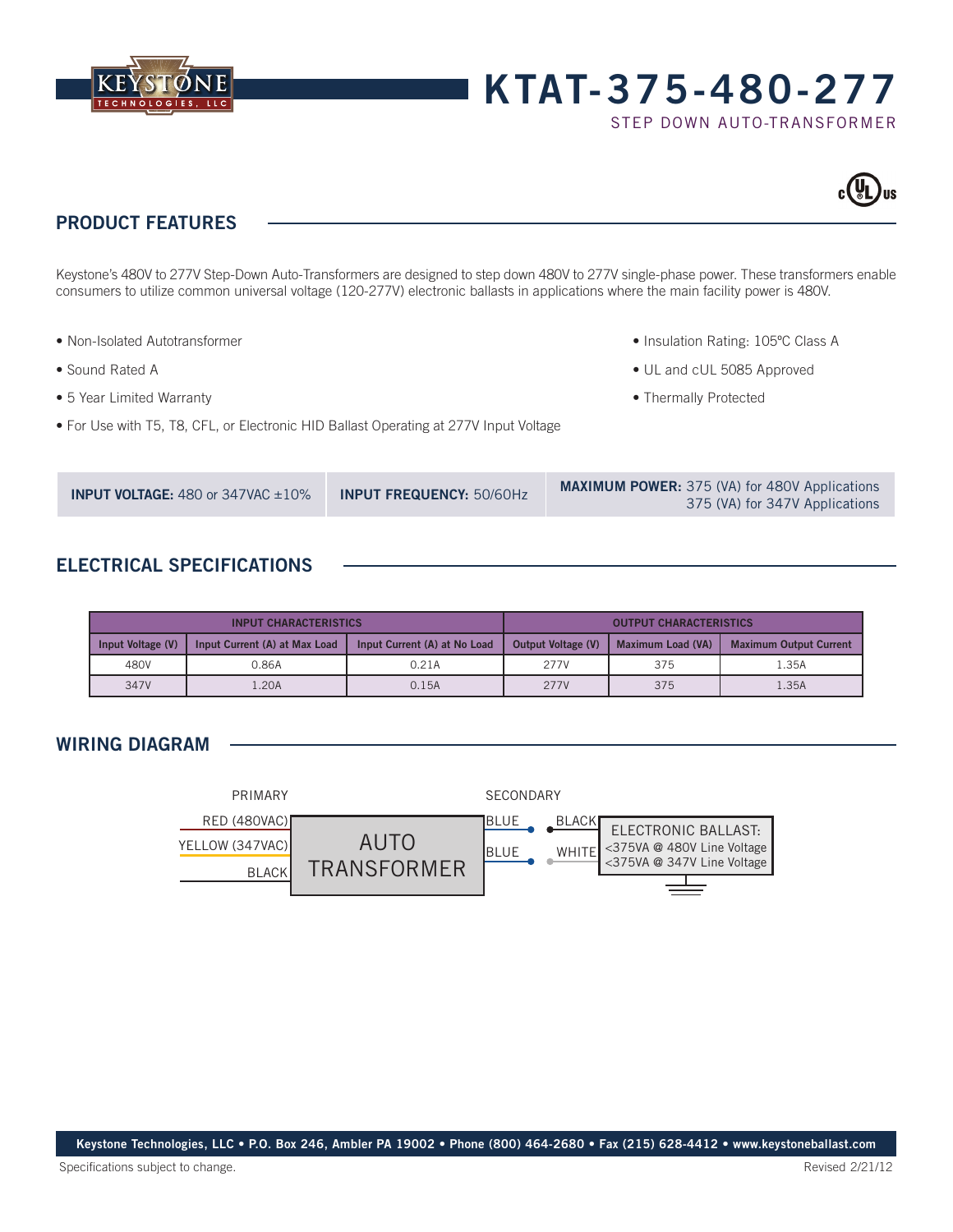

# **KTAT-375-480-277**

STEP DOWN AUTO-TRANSFORMER



# **PRODUCT FEATURES**

Keystone's 480V to 277V Step-Down Auto-Transformers are designed to step down 480V to 277V single-phase power. These transformers enable consumers to utilize common universal voltage (120-277V) electronic ballasts in applications where the main facility power is 480V.

- Non-Isolated Autotransformer
- Sound Rated A
- 5 Year Limited Warranty
- For Use with T5, T8, CFL, or Electronic HID Ballast Operating at 277V Input Voltage
- Insulation Rating: 105ºC Class A
- UL and cUL 5085 Approved
- Thermally Protected

## **ELECTRICAL SPECIFICATIONS**

| <b>INPUT CHARACTERISTICS</b> |                               |                              | <b>OUTPUT CHARACTERISTICS</b> |                   |                               |
|------------------------------|-------------------------------|------------------------------|-------------------------------|-------------------|-------------------------------|
| Input Voltage (V)            | Input Current (A) at Max Load | Input Current (A) at No Load | Output Voltage (V)            | Maximum Load (VA) | <b>Maximum Output Current</b> |
| 480V                         | 0.86A                         | 0.21A                        | 277V                          | 375               | 35A                           |
| 347V                         | .20A                          | 0.15A                        | 277V                          | 375               | 1.35A                         |

## **WIRING DIAGRAM**



**Keystone Technologies, LLC • P.O. Box 246, Ambler PA 19002 • Phone (800) 464-2680 • Fax (215) 628-4412 • www.keystoneballast.com**